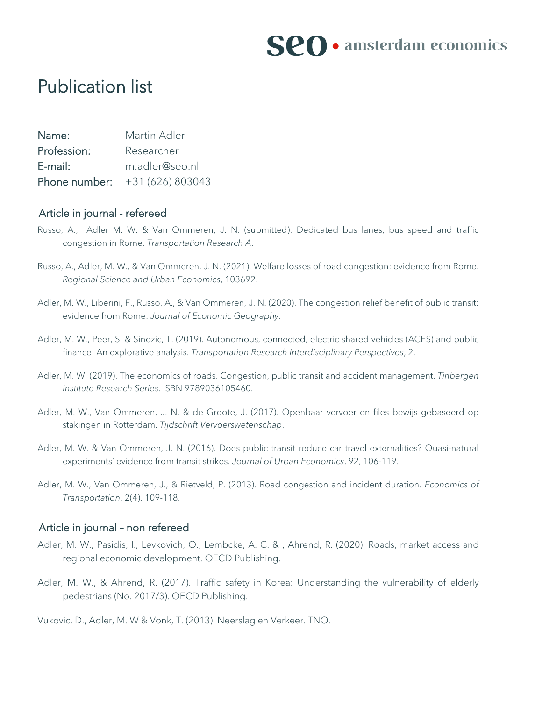

## Publication list

| Name:       | Martin Adler                   |
|-------------|--------------------------------|
| Profession: | Researcher                     |
| E-mail:     | m.adler@seo.nl                 |
|             | Phone number: $+31(626)803043$ |

### Article in journal - refereed

- Russo, A., Adler M. W. & Van Ommeren, J. N. (submitted). Dedicated bus lanes, bus speed and traffic congestion in Rome. *Transportation Research A*.
- Russo, A., Adler, M. W., & Van Ommeren, J. N. (2021). Welfare losses of road congestion: evidence from Rome. *Regional Science and Urban Economics*, 103692.
- Adler, M. W., Liberini, F., Russo, A., & Van Ommeren, J. N. (2020). The congestion relief benefit of public transit: evidence from Rome. *Journal of Economic Geography*.
- Adler, M. W., Peer, S. & Sinozic, T. (2019). Autonomous, connected, electric shared vehicles (ACES) and public finance: An explorative analysis. *Transportation Research Interdisciplinary Perspectives*, 2.
- Adler, M. W. (2019). The economics of roads. Congestion, public transit and accident management. *Tinbergen Institute Research Series*. ISBN 9789036105460.
- Adler, M. W., Van Ommeren, J. N. & de Groote, J. (2017). Openbaar vervoer en files bewijs gebaseerd op stakingen in Rotterdam. *Tijdschrift Vervoerswetenschap*.
- Adler, M. W. & Van Ommeren, J. N. (2016). Does public transit reduce car travel externalities? Quasi-natural experiments' evidence from transit strikes. *Journal of Urban Economics*, 92, 106-119.
- Adler, M. W., Van Ommeren, J., & Rietveld, P. (2013). Road congestion and incident duration. *Economics of Transportation*, 2(4), 109-118.

### Article in journal – non refereed

- Adler, M. W., Pasidis, I., Levkovich, O., Lembcke, A. C. & , Ahrend, R. (2020). Roads, market access and regional economic development. OECD Publishing.
- Adler, M. W., & Ahrend, R. (2017). Traffic safety in Korea: Understanding the vulnerability of elderly pedestrians (No. 2017/3). OECD Publishing.

Vukovic, D., Adler, M. W & Vonk, T. (2013). Neerslag en Verkeer. TNO.